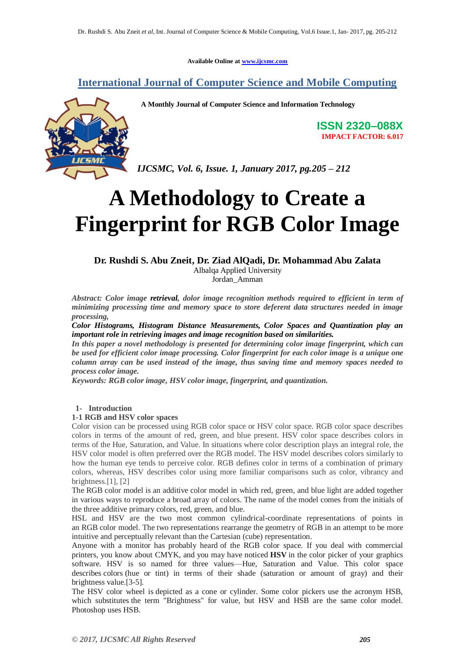**Available Online at [www.ijcsmc.com](http://www.ijcsmc.com/)**

# **International Journal of Computer Science and Mobile Computing**



**A Monthly Journal of Computer Science and Information Technology**

**ISSN 2320–088X IMPACT FACTOR: 6.017**

*IJCSMC, Vol. 6, Issue. 1, January 2017, pg.205 – 212*

# **A Methodology to Create a Fingerprint for RGB Color Image**

# **Dr. Rushdi S. Abu Zneit, Dr. Ziad AlQadi, Dr. Mohammad Abu Zalata**

Albalqa Applied University Jordan\_Amman

*Abstract: Color image retrieval, dolor image recognition methods required to efficient in term of minimizing processing time and memory space to store deferent data structures needed in image processing,*

*Color Histograms, Histogram Distance Measurements, Color Spaces and Quantization play an important role in retrieving images and image recognition based on similarities.* 

*In this paper a novel methodology is presented for determining color image fingerprint, which can be used for efficient color image processing. Color fingerprint for each color image is a unique one column array can be used instead of the image, thus saving time and memory spaces needed to process color image.*

*Keywords: RGB color image, HSV color image, fingerprint, and quantization.*

# **1- Introduction**

#### **1-1 RGB and HSV color spaces**

Color vision can be processed using RGB color space or HSV color space. RGB color space describes colors in terms of the amount of red, green, and blue present. HSV color space describes colors in terms of the Hue, Saturation, and Value. In situations where color description plays an integral role, the HSV color model is often preferred over the RGB model. The HSV model describes colors similarly to how the human eye tends to perceive color. RGB defines color in terms of a combination of primary colors, whereas, HSV describes color using more familiar comparisons such as color, vibrancy and brightness.[1], [2]

The RGB color model is an additive color model in which red, green, and blue light are added together in various ways to reproduce a broad array of colors. The name of the model comes from the initials of the three additive primary colors, red, green, and blue.

HSL and HSV are the two most common cylindrical-coordinate representations of points in an RGB color model. The two representations rearrange the geometry of RGB in an attempt to be more intuitive and perceptually relevant than the Cartesian (cube) representation.

Anyone with a monitor has probably heard of the RGB color space. If you deal with commercial printers, you know about CMYK, and you may have noticed **HSV** in the color picker of your graphics software. HSV is so named for three values—Hue, Saturation and Value. This color space describes colors (hue or tint) in terms of their shade (saturation or amount of gray) and their brightness value.[3-5].

The HSV color wheel is depicted as a cone or cylinder. Some color pickers use the acronym HSB, which substitutes the term "Brightness" for value, but HSV and HSB are the same color model. Photoshop uses HSB.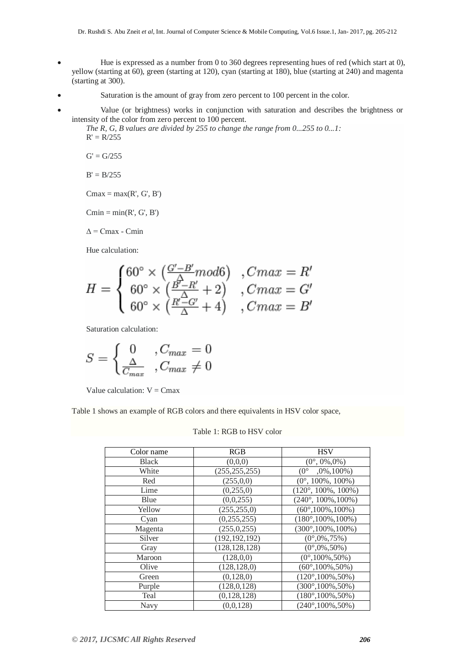- Hue is expressed as a number from 0 to 360 degrees representing hues of red (which start at 0), yellow (starting at 60), green (starting at 120), cyan (starting at 180), blue (starting at 240) and magenta (starting at 300).
- Saturation is the amount of gray from zero percent to 100 percent in the color.
- Value (or brightness) works in conjunction with saturation and describes the brightness or intensity of the color from zero percent to 100 percent.

*The R, G, B values are divided by 255 to change the range from 0...255 to 0...1:*  $R' = R/255$ 

 $G' = G/255$ 

 $B' = B/255$ 

 $Cmax = max(R', G', B')$ 

 $Cmin = min(R', G', B')$ 

 $\Delta$  = Cmax - Cmin

Hue calculation:

$$
H = \begin{cases} 60^{\circ} \times \left( \frac{G' - B'}{\Delta} mod 6 \right) & , Cmax = R' \\ 60^{\circ} \times \left( \frac{B' - R'}{\Delta} + 2 \right) & , Cmax = G' \\ 60^{\circ} \times \left( \frac{R' - G'}{\Delta} + 4 \right) & , Cmax = B' \end{cases}
$$

Saturation calculation:

$$
S = \begin{cases} 0, & C_{max} = 0\\ \frac{\Delta}{C_{max}}, & C_{max} \neq 0 \end{cases}
$$

Value calculation:  $V = Cmax$ 

Table 1 shows an example of RGB colors and there equivalents in HSV color space,

## Table 1: RGB to HSV color

| Color name   | RGB             | <b>HSV</b>                    |
|--------------|-----------------|-------------------------------|
| <b>Black</b> | (0,0,0)         | $(0^{\circ}, 0\%, 0\%)$       |
| White        | (255, 255, 255) | $(0^{\circ}$<br>$,0\%,100\%)$ |
| Red          | (255, 0, 0)     | $(0^{\circ}, 100\%, 100\%)$   |
| Lime         | (0,255,0)       | $(120^{\circ}, 100\%, 100\%)$ |
| Blue         | (0,0,255)       | $(240^{\circ}, 100\%, 100\%)$ |
| Yellow       | (255, 255, 0)   | $(60^{\circ}, 100\%, 100\%)$  |
| Cyan         | (0, 255, 255)   | $(180^{\circ}, 100\%, 100\%)$ |
| Magenta      | (255, 0, 255)   | $(300^{\circ}, 100\%, 100\%)$ |
| Silver       | (192, 192, 192) | $(0^{\circ},0\%,75\%)$        |
| Gray         | (128, 128, 128) | $(0^{\circ},0\%,50\%)$        |
| Maroon       | (128,0,0)       | $(0^{\circ}, 100\%, 50\%)$    |
| Olive        | (128, 128, 0)   | $(60^{\circ}, 100\%, 50\%)$   |
| Green        | (0, 128, 0)     | $(120^{\circ}, 100\%, 50\%)$  |
| Purple       | (128, 0, 128)   | $(300^{\circ}, 100\%, 50\%)$  |
| Teal         | (0, 128, 128)   | $(180^{\circ}, 100\%, 50\%)$  |
| Navy         | (0,0,128)       | $(240^{\circ}, 100\%, 50\%)$  |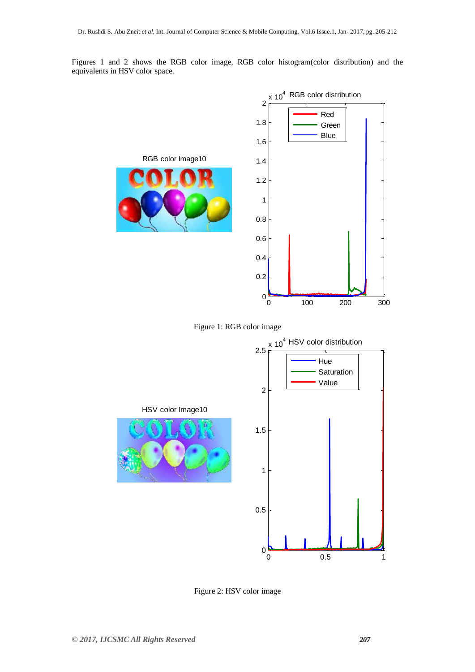Figures 1 and 2 shows the RGB color image, RGB color histogram(color distribution) and the equivalents in HSV color space.



Figure 1: RGB color image



Figure 2: HSV color image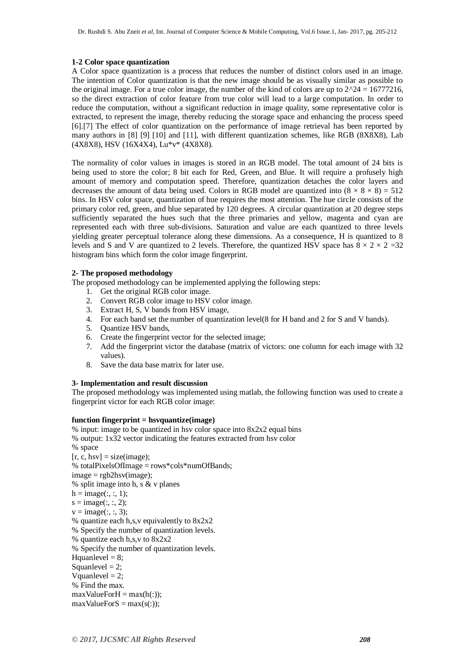#### **1-2 Color space quantization**

A Color space quantization is a process that reduces the number of distinct colors used in an image. The intention of Color quantization is that the new image should be as visually similar as possible to the original image. For a true color image, the number of the kind of colors are up to  $2^2/24 = 16777216$ , so the direct extraction of color feature from true color will lead to a large computation. In order to reduce the computation, without a significant reduction in image quality, some representative color is extracted, to represent the image, thereby reducing the storage space and enhancing the process speed [6].[7] The effect of color quantization on the performance of image retrieval has been reported by many authors in [8] [9] [10] and [11], with different quantization schemes, like RGB (8X8X8), Lab (4X8X8), HSV (16X4X4), Lu\*v\* (4X8X8).

The normality of color values in images is stored in an RGB model. The total amount of 24 bits is being used to store the color; 8 bit each for Red, Green, and Blue. It will require a profusely high amount of memory and computation speed. Therefore, quantization detaches the color layers and decreases the amount of data being used. Colors in RGB model are quantized into  $(8 \times 8 \times 8) = 512$ bins. In HSV color space, quantization of hue requires the most attention. The hue circle consists of the primary color red, green, and blue separated by 120 degrees. A circular quantization at 20 degree steps sufficiently separated the hues such that the three primaries and yellow, magenta and cyan are represented each with three sub-divisions. Saturation and value are each quantized to three levels yielding greater perceptual tolerance along these dimensions. As a consequence, H is quantized to 8 levels and S and V are quantized to 2 levels. Therefore, the quantized HSV space has  $8 \times 2 \times 2 = 32$ histogram bins which form the color image fingerprint.

#### **2- The proposed methodology**

The proposed methodology can be implemented applying the following steps:

- 1. Get the original RGB color image.
- 2. Convert RGB color image to HSV color image.
- 3. Extract H, S, V bands from HSV image,
- 4. For each band set the number of quantization level(8 for H band and 2 for S and V bands).
- 5. Quantize HSV bands,
- 6. Create the fingerprint vector for the selected image;
- 7. Add the fingerprint victor the database (matrix of victors: one column for each image with 32 values).
- 8. Save the data base matrix for later use.

### **3- Implementation and result discussion**

The proposed methodology was implemented using matlab, the following function was used to create a fingerprint victor for each RGB color image:

#### **function fingerprint = hsvquantize(image)**

% input: image to be quantized in hsv color space into 8x2x2 equal bins % output: 1x32 vector indicating the features extracted from hsv color % space  $[r, c, hsv] = size(image);$ % totalPixelsOfImage = rows\*cols\*numOfBands;  $image = *rgb2hsv(image*)$ ; % split image into h, s & v planes  $h = image(:, :, 1);$  $s = \text{image}(:, :, 2);$  $v = \text{image}(:, :, 3);$ % quantize each h,s,v equivalently to 8x2x2 % Specify the number of quantization levels. % quantize each h,s,v to 8x2x2 % Specify the number of quantization levels. Hquanlevel  $= 8$ ; Squanlevel  $= 2$ ; Vquanlevel  $= 2$ ; % Find the max.  $maxValueForH = max(h(:));$  $maxValueForS = max(s(:));$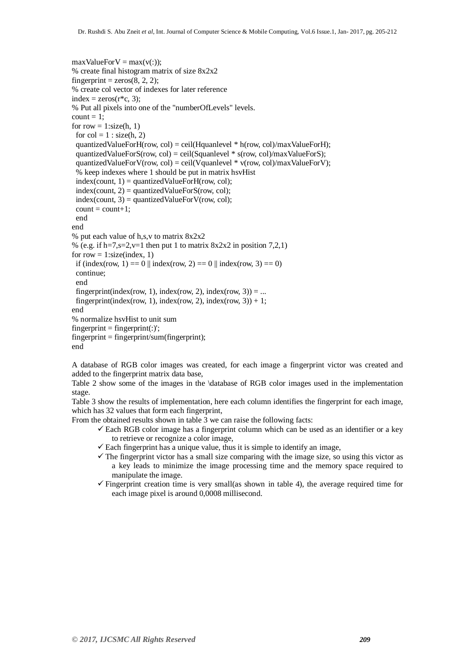```
maxValueForV = max(v(:));% create final histogram matrix of size 8x2x2
fingerprint = zeros(8, 2, 2);% create col vector of indexes for later reference
index = zeros(r \cdot c, 3);
% Put all pixels into one of the "numberOfLevels" levels.
count = 1;
for row = 1:size(h, 1)
 for col = 1: size(h, 2)
 quantizedValueForH(row, col) = ceil(Hquanlevel * h(row, col)/maxValueForH);
 quantizedValueForS(row, col) = ceil(Squanlevel * s(row, col)/maxValueForS);
 quantizedValueForV(row, col) = ceil(Vquanlevel * v(row, col)/maxValueForV);
 % keep indexes where 1 should be put in matrix hsvHist
 index(count, 1) = quantizedValueForH(row, col);
 index(count, 2) = quantizedValueForS(row, col);index(count, 3) = quantizedValueForV(row, col);count = count + 1;end
end
% put each value of h,s,v to matrix 8x2x2
% (e.g. if h=7,s=2,v=1 then put 1 to matrix 8x2x2 in position 7,2,1)
for row = 1:size(index, 1)
 if (index(row, 1) = 0 \parallel index(row, 2) = 0 \parallel index(row, 3) = 0)
 continue;
 end
 fingerprint(index(row, 1), index(row, 2), index(row, 3)) = ...
 fingerprint(index(row, 1), index(row, 2), index(row, 3)) + 1;
end
% normalize hsvHist to unit sum
fingerprint = fingerprint(:);
fingerprint = fingerprint/sum(fingerprint);end
```
A database of RGB color images was created, for each image a fingerprint victor was created and added to the fingerprint matrix data base,

Table 2 show some of the images in the \database of RGB color images used in the implementation stage.

Table 3 show the results of implementation, here each column identifies the fingerprint for each image, which has 32 values that form each fingerprint,

From the obtained results shown in table 3 we can raise the following facts:

- $\checkmark$  Each RGB color image has a fingerprint column which can be used as an identifier or a key to retrieve or recognize a color image,
- $\checkmark$  Each fingerprint has a unique value, thus it is simple to identify an image,
- $\checkmark$  The fingerprint victor has a small size comparing with the image size, so using this victor as a key leads to minimize the image processing time and the memory space required to manipulate the image.
- $\checkmark$  Fingerprint creation time is very small(as shown in table 4), the average required time for each image pixel is around 0,0008 millisecond.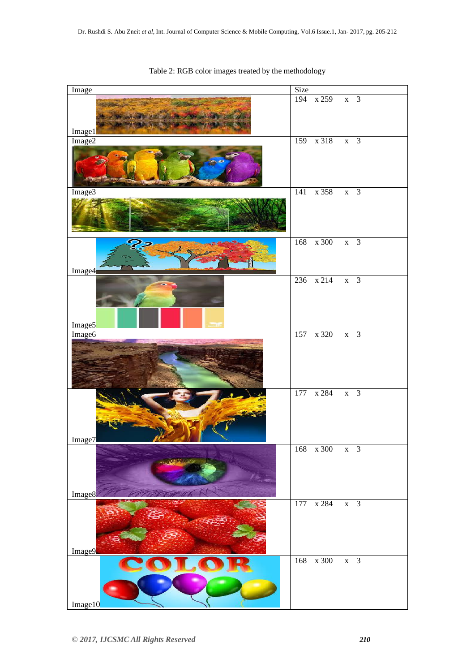| Image              | Size                          |
|--------------------|-------------------------------|
| Image1             | 194 x 259 x 3                 |
| Image2             | 159 x 318 x 3                 |
| Image3             | 141 x 358 x 3                 |
| Image4             | 168 x 300 x 3                 |
| Image <sub>5</sub> | 236 x 214 x 3                 |
| Image6             | 157 x 320 x 3                 |
| Image7             | 177 x 284 x 3                 |
| Image8             | 168 x 300 x 3                 |
| Image9             | 177 x 284<br>$x \overline{3}$ |
| Image10            | 168 x 300 x 3                 |

Table 2: RGB color images treated by the methodology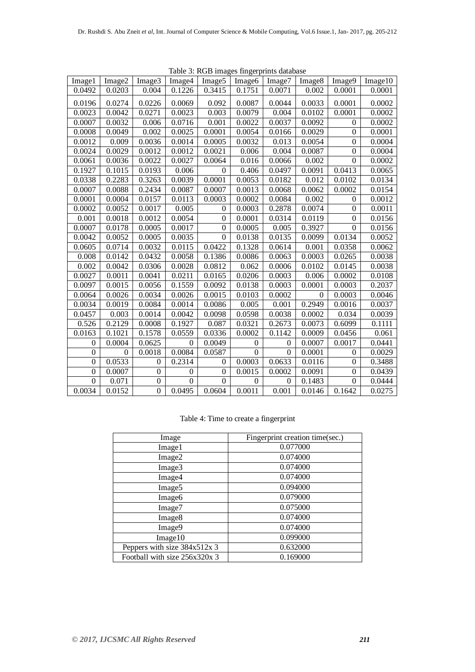| Table 5: ROD Images imgerprints database |          |                  |          |                    |                    |          |                    |                  |         |
|------------------------------------------|----------|------------------|----------|--------------------|--------------------|----------|--------------------|------------------|---------|
| Image1                                   | Image2   | Image3           | Image4   | Image <sub>5</sub> | Image <sub>6</sub> | Image7   | Image <sub>8</sub> | Image9           | Image10 |
| 0.0492                                   | 0.0203   | 0.004            | 0.1226   | 0.3415             | 0.1751             | 0.0071   | 0.002              | 0.0001           | 0.0001  |
| 0.0196                                   | 0.0274   | 0.0226           | 0.0069   | 0.092              | 0.0087             | 0.0044   | 0.0033             | 0.0001           | 0.0002  |
| 0.0023                                   | 0.0042   | 0.0271           | 0.0023   | 0.003              | 0.0079             | 0.004    | 0.0102             | 0.0001           | 0.0002  |
| 0.0007                                   | 0.0032   | 0.006            | 0.0716   | 0.001              | 0.0022             | 0.0037   | 0.0092             | $\Omega$         | 0.0002  |
| 0.0008                                   | 0.0049   | 0.002            | 0.0025   | 0.0001             | 0.0054             | 0.0166   | 0.0029             | $\mathbf{0}$     | 0.0001  |
| 0.0012                                   | 0.009    | 0.0036           | 0.0014   | 0.0005             | 0.0032             | 0.013    | 0.0054             | $\overline{0}$   | 0.0004  |
| 0.0024                                   | 0.0029   | 0.0012           | 0.0012   | 0.0021             | 0.006              | 0.004    | 0.0087             | $\mathbf{0}$     | 0.0004  |
| 0.0061                                   | 0.0036   | 0.0022           | 0.0027   | 0.0064             | 0.016              | 0.0066   | 0.002              | $\mathbf{0}$     | 0.0002  |
| 0.1927                                   | 0.1015   | 0.0193           | 0.006    | $\mathbf{0}$       | 0.406              | 0.0497   | 0.0091             | 0.0413           | 0.0065  |
| 0.0338                                   | 0.2283   | 0.3263           | 0.0039   | 0.0001             | 0.0053             | 0.0182   | 0.012              | 0.0102           | 0.0134  |
| 0.0007                                   | 0.0088   | 0.2434           | 0.0087   | 0.0007             | 0.0013             | 0.0068   | 0.0062             | 0.0002           | 0.0154  |
| 0.0001                                   | 0.0004   | 0.0157           | 0.0113   | 0.0003             | 0.0002             | 0.0084   | 0.002              | $\Omega$         | 0.0012  |
| 0.0002                                   | 0.0052   | 0.0017           | 0.005    | $\mathbf{0}$       | 0.0003             | 0.2878   | 0.0074             | $\Omega$         | 0.0011  |
| 0.001                                    | 0.0018   | 0.0012           | 0.0054   | $\theta$           | 0.0001             | 0.0314   | 0.0119             | $\Omega$         | 0.0156  |
| 0.0007                                   | 0.0178   | 0.0005           | 0.0017   | $\theta$           | 0.0005             | 0.005    | 0.3927             | $\theta$         | 0.0156  |
| 0.0042                                   | 0.0052   | 0.0005           | 0.0035   | $\Omega$           | 0.0138             | 0.0135   | 0.0099             | 0.0134           | 0.0052  |
| 0.0605                                   | 0.0714   | 0.0032           | 0.0115   | 0.0422             | 0.1328             | 0.0614   | 0.001              | 0.0358           | 0.0062  |
| 0.008                                    | 0.0142   | 0.0432           | 0.0058   | 0.1386             | 0.0086             | 0.0063   | 0.0003             | 0.0265           | 0.0038  |
| 0.002                                    | 0.0042   | 0.0306           | 0.0028   | 0.0812             | 0.062              | 0.0006   | 0.0102             | 0.0145           | 0.0038  |
| 0.0027                                   | 0.0011   | 0.0041           | 0.0211   | 0.0165             | 0.0206             | 0.0003   | 0.006              | 0.0002           | 0.0108  |
| 0.0097                                   | 0.0015   | 0.0056           | 0.1559   | 0.0092             | 0.0138             | 0.0003   | 0.0001             | 0.0003           | 0.2037  |
| 0.0064                                   | 0.0026   | 0.0034           | 0.0026   | 0.0015             | 0.0103             | 0.0002   | $\overline{0}$     | 0.0003           | 0.0046  |
| 0.0034                                   | 0.0019   | 0.0084           | 0.0014   | 0.0086             | 0.005              | 0.001    | 0.2949             | 0.0016           | 0.0037  |
| 0.0457                                   | 0.003    | 0.0014           | 0.0042   | 0.0098             | 0.0598             | 0.0038   | 0.0002             | 0.034            | 0.0039  |
| 0.526                                    | 0.2129   | 0.0008           | 0.1927   | 0.087              | 0.0321             | 0.2673   | 0.0073             | 0.6099           | 0.1111  |
| 0.0163                                   | 0.1021   | 0.1578           | 0.0559   | 0.0336             | 0.0002             | 0.1142   | 0.0009             | 0.0456           | 0.061   |
| $\theta$                                 | 0.0004   | 0.0625           | $\theta$ | 0.0049             | $\Omega$           | $\Omega$ | 0.0007             | 0.0017           | 0.0441  |
| $\boldsymbol{0}$                         | $\Omega$ | 0.0018           | 0.0084   | 0.0587             | $\boldsymbol{0}$   | $\Omega$ | 0.0001             | $\mathbf{0}$     | 0.0029  |
| $\theta$                                 | 0.0533   | $\theta$         | 0.2314   | $\theta$           | 0.0003             | 0.0633   | 0.0116             | $\Omega$         | 0.3488  |
| $\overline{0}$                           | 0.0007   | $\boldsymbol{0}$ | 0        | $\mathbf{0}$       | 0.0015             | 0.0002   | 0.0091             | $\boldsymbol{0}$ | 0.0439  |
| $\Omega$                                 | 0.071    | $\boldsymbol{0}$ | $\theta$ | $\Omega$           | $\Omega$           | $\Omega$ | 0.1483             | $\Omega$         | 0.0444  |
| 0.0034                                   | 0.0152   | $\overline{0}$   | 0.0495   | 0.0604             | 0.0011             | 0.001    | 0.0146             | 0.1642           | 0.0275  |

Table 3: RGB images fingerprints database

# Table 4: Time to create a fingerprint

| Image                         | Fingerprint creation time(sec.) |  |
|-------------------------------|---------------------------------|--|
| Image1                        | 0.077000                        |  |
| Image2                        | 0.074000                        |  |
| Image3                        | 0.074000                        |  |
| Image4                        | 0.074000                        |  |
| Image <sub>5</sub>            | 0.094000                        |  |
| Image6                        | 0.079000                        |  |
| Image7                        | 0.075000                        |  |
| Image <sub>8</sub>            | 0.074000                        |  |
| Image9                        | 0.074000                        |  |
| Image10                       | 0.099000                        |  |
| Peppers with size 384x512x 3  | 0.632000                        |  |
| Football with size 256x320x 3 | 0.169000                        |  |